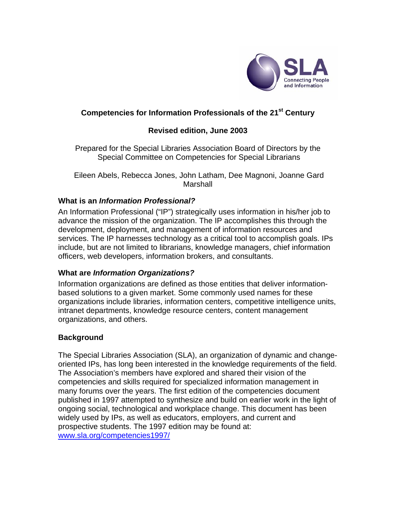

## **Competencies for Information Professionals of the 21st Century**

### **Revised edition, June 2003**

Prepared for the Special Libraries Association Board of Directors by the Special Committee on Competencies for Special Librarians

 Eileen Abels, Rebecca Jones, John Latham, Dee Magnoni, Joanne Gard Marshall

#### **What is an** *Information Professional?*

An Information Professional ("IP") strategically uses information in his/her job to advance the mission of the organization. The IP accomplishes this through the development, deployment, and management of information resources and services. The IP harnesses technology as a critical tool to accomplish goals. IPs include, but are not limited to librarians, knowledge managers, chief information officers, web developers, information brokers, and consultants.

# **What are** *Information Organizations?*

Information organizations are defined as those entities that deliver informationbased solutions to a given market. Some commonly used names for these organizations include libraries, information centers, competitive intelligence units, intranet departments, knowledge resource centers, content management organizations, and others.

# **Background**

The Special Libraries Association (SLA), an organization of dynamic and changeoriented IPs, has long been interested in the knowledge requirements of the field. The Association's members have explored and shared their vision of the competencies and skills required for specialized information management in many forums over the years. The first edition of the competencies document published in 1997 attempted to synthesize and build on earlier work in the light of ongoing social, technological and workplace change. This document has been widely used by IPs, as well as educators, employers, and current and prospective students. The 1997 edition may be found at: [www.sla.org/competencies1997/](http://www.sla.org/content/learn/comp2003/97comp.cfm)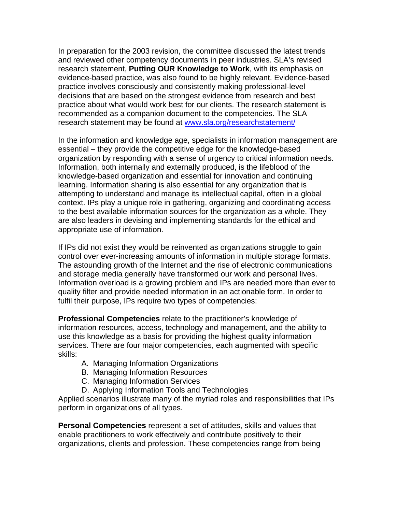In preparation for the 2003 revision, the committee discussed the latest trends and reviewed other competency documents in peer industries. SLA's revised research statement, **Putting OUR Knowledge to Work**, with its emphasis on evidence-based practice, was also found to be highly relevant. Evidence-based practice involves consciously and consistently making professional-level decisions that are based on the strongest evidence from research and best practice about what would work best for our clients. The research statement is recommended as a companion document to the competencies. The SLA research statement may be found at [www.sla.org/researchstatement/](http://www.sla.org/researchstatement/)

In the information and knowledge age, specialists in information management are essential – they provide the competitive edge for the knowledge-based organization by responding with a sense of urgency to critical information needs. Information, both internally and externally produced, is the lifeblood of the knowledge-based organization and essential for innovation and continuing learning. Information sharing is also essential for any organization that is attempting to understand and manage its intellectual capital, often in a global context. IPs play a unique role in gathering, organizing and coordinating access to the best available information sources for the organization as a whole. They are also leaders in devising and implementing standards for the ethical and appropriate use of information.

If IPs did not exist they would be reinvented as organizations struggle to gain control over ever-increasing amounts of information in multiple storage formats. The astounding growth of the Internet and the rise of electronic communications and storage media generally have transformed our work and personal lives. Information overload is a growing problem and IPs are needed more than ever to quality filter and provide needed information in an actionable form. In order to fulfil their purpose, IPs require two types of competencies:

**Professional Competencies** relate to the practitioner's knowledge of information resources, access, technology and management, and the ability to use this knowledge as a basis for providing the highest quality information services. There are four major competencies, each augmented with specific skills:

- A. Managing Information Organizations
- B. Managing Information Resources
- C. Managing Information Services
- D. Applying Information Tools and Technologies

Applied scenarios illustrate many of the myriad roles and responsibilities that IPs perform in organizations of all types.

**Personal Competencies** represent a set of attitudes, skills and values that enable practitioners to work effectively and contribute positively to their organizations, clients and profession. These competencies range from being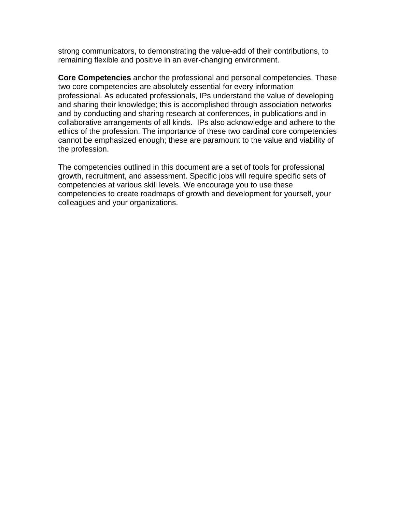strong communicators, to demonstrating the value-add of their contributions, to remaining flexible and positive in an ever-changing environment.

**Core Competencies** anchor the professional and personal competencies. These two core competencies are absolutely essential for every information professional. As educated professionals, IPs understand the value of developing and sharing their knowledge; this is accomplished through association networks and by conducting and sharing research at conferences, in publications and in collaborative arrangements of all kinds. IPs also acknowledge and adhere to the ethics of the profession. The importance of these two cardinal core competencies cannot be emphasized enough; these are paramount to the value and viability of the profession.

The competencies outlined in this document are a set of tools for professional growth, recruitment, and assessment. Specific jobs will require specific sets of competencies at various skill levels. We encourage you to use these competencies to create roadmaps of growth and development for yourself, your colleagues and your organizations.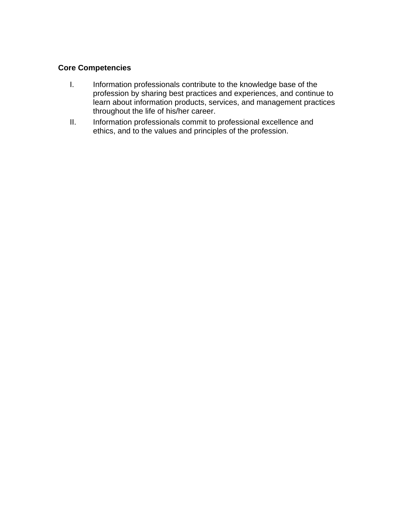## **Core Competencies**

- I. Information professionals contribute to the knowledge base of the profession by sharing best practices and experiences, and continue to learn about information products, services, and management practices throughout the life of his/her career.
- II. Information professionals commit to professional excellence and ethics, and to the values and principles of the profession.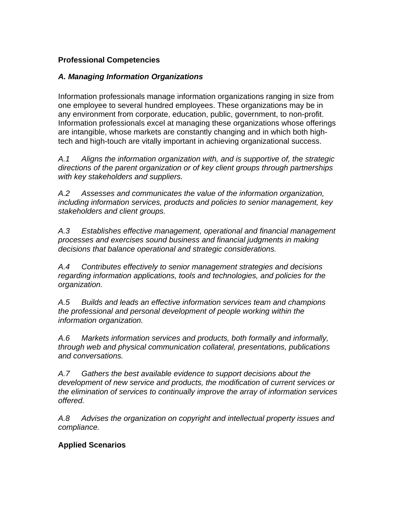# **Professional Competencies**

# *A. Managing Information Organizations*

Information professionals manage information organizations ranging in size from one employee to several hundred employees. These organizations may be in any environment from corporate, education, public, government, to non-profit. Information professionals excel at managing these organizations whose offerings are intangible, whose markets are constantly changing and in which both hightech and high-touch are vitally important in achieving organizational success.

*A.1 Aligns the information organization with, and is supportive of, the strategic directions of the parent organization or of key client groups through partnerships with key stakeholders and suppliers.* 

*A.2 Assesses and communicates the value of the information organization, including information services, products and policies to senior management, key stakeholders and client groups.* 

*A.3 Establishes effective management, operational and financial management processes and exercises sound business and financial judgments in making decisions that balance operational and strategic considerations.* 

*A.4 Contributes effectively to senior management strategies and decisions regarding information applications, tools and technologies, and policies for the organization.* 

*A.5 Builds and leads an effective information services team and champions the professional and personal development of people working within the information organization.* 

*A.6 Markets information services and products, both formally and informally, through web and physical communication collateral, presentations, publications and conversations.* 

*A.7 Gathers the best available evidence to support decisions about the development of new service and products, the modification of current services or the elimination of services to continually improve the array of information services offered.* 

*A.8 Advises the organization on copyright and intellectual property issues and compliance.*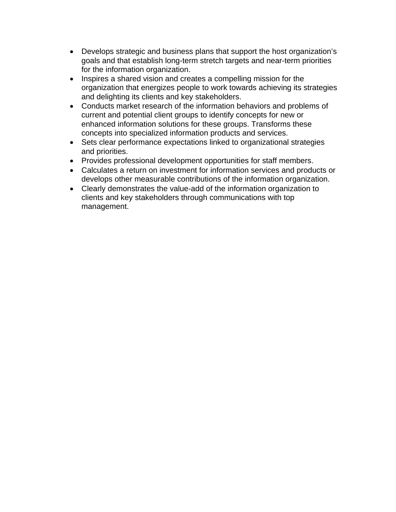- Develops strategic and business plans that support the host organization's goals and that establish long-term stretch targets and near-term priorities for the information organization.
- Inspires a shared vision and creates a compelling mission for the organization that energizes people to work towards achieving its strategies and delighting its clients and key stakeholders.
- Conducts market research of the information behaviors and problems of current and potential client groups to identify concepts for new or enhanced information solutions for these groups. Transforms these concepts into specialized information products and services.
- Sets clear performance expectations linked to organizational strategies and priorities.
- Provides professional development opportunities for staff members.
- Calculates a return on investment for information services and products or develops other measurable contributions of the information organization.
- Clearly demonstrates the value-add of the information organization to clients and key stakeholders through communications with top management.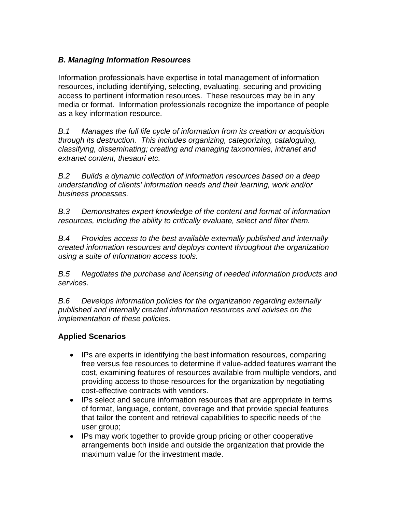# *B. Managing Information Resources*

Information professionals have expertise in total management of information resources, including identifying, selecting, evaluating, securing and providing access to pertinent information resources. These resources may be in any media or format. Information professionals recognize the importance of people as a key information resource.

*B.1 Manages the full life cycle of information from its creation or acquisition through its destruction. This includes organizing, categorizing, cataloguing, classifying, disseminating; creating and managing taxonomies, intranet and extranet content, thesauri etc.* 

*B.2 Builds a dynamic collection of information resources based on a deep understanding of clients' information needs and their learning, work and/or business processes.* 

*B.3 Demonstrates expert knowledge of the content and format of information resources, including the ability to critically evaluate, select and filter them.* 

*B.4 Provides access to the best available externally published and internally created information resources and deploys content throughout the organization using a suite of information access tools.* 

*B.5 Negotiates the purchase and licensing of needed information products and services.* 

*B.6 Develops information policies for the organization regarding externally published and internally created information resources and advises on the implementation of these policies.* 

- IPs are experts in identifying the best information resources, comparing free versus fee resources to determine if value-added features warrant the cost, examining features of resources available from multiple vendors, and providing access to those resources for the organization by negotiating cost-effective contracts with vendors.
- IPs select and secure information resources that are appropriate in terms of format, language, content, coverage and that provide special features that tailor the content and retrieval capabilities to specific needs of the user group;
- IPs may work together to provide group pricing or other cooperative arrangements both inside and outside the organization that provide the maximum value for the investment made.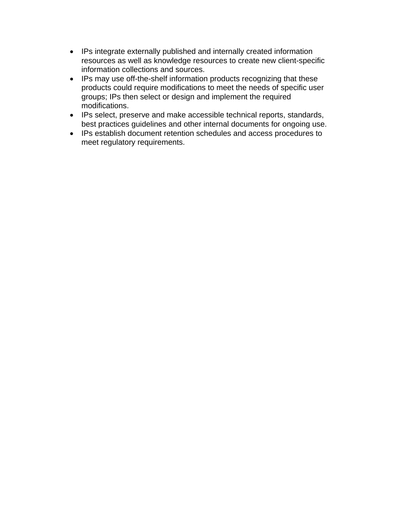- IPs integrate externally published and internally created information resources as well as knowledge resources to create new client-specific information collections and sources.
- IPs may use off-the-shelf information products recognizing that these products could require modifications to meet the needs of specific user groups; IPs then select or design and implement the required modifications.
- IPs select, preserve and make accessible technical reports, standards, best practices guidelines and other internal documents for ongoing use.
- IPs establish document retention schedules and access procedures to meet regulatory requirements.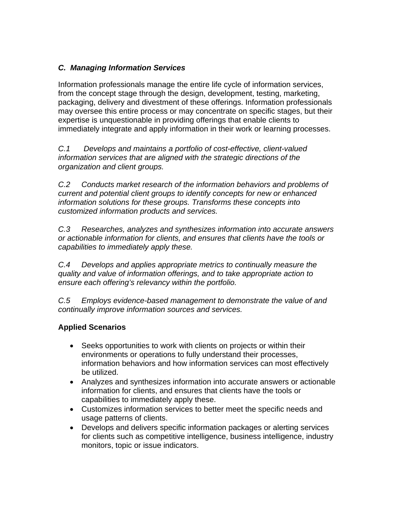# *C. Managing Information Services*

Information professionals manage the entire life cycle of information services, from the concept stage through the design, development, testing, marketing, packaging, delivery and divestment of these offerings. Information professionals may oversee this entire process or may concentrate on specific stages, but their expertise is unquestionable in providing offerings that enable clients to immediately integrate and apply information in their work or learning processes.

*C.1 Develops and maintains a portfolio of cost-effective, client-valued information services that are aligned with the strategic directions of the organization and client groups.* 

*C.2 Conducts market research of the information behaviors and problems of current and potential client groups to identify concepts for new or enhanced information solutions for these groups. Transforms these concepts into customized information products and services.* 

*C.3 Researches, analyzes and synthesizes information into accurate answers or actionable information for clients, and ensures that clients have the tools or capabilities to immediately apply these.* 

*C.4 Develops and applies appropriate metrics to continually measure the quality and value of information offerings, and to take appropriate action to ensure each offering's relevancy within the portfolio.* 

*C.5 Employs evidence-based management to demonstrate the value of and continually improve information sources and services.* 

- Seeks opportunities to work with clients on projects or within their environments or operations to fully understand their processes, information behaviors and how information services can most effectively be utilized.
- Analyzes and synthesizes information into accurate answers or actionable information for clients, and ensures that clients have the tools or capabilities to immediately apply these.
- Customizes information services to better meet the specific needs and usage patterns of clients.
- Develops and delivers specific information packages or alerting services for clients such as competitive intelligence, business intelligence, industry monitors, topic or issue indicators.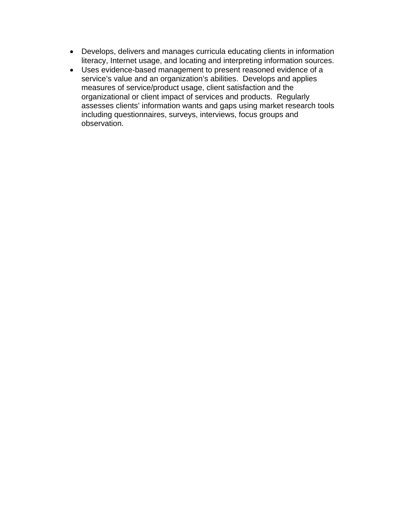- Develops, delivers and manages curricula educating clients in information literacy, Internet usage, and locating and interpreting information sources.
- Uses evidence-based management to present reasoned evidence of a service's value and an organization's abilities.Develops and applies measures of service/product usage, client satisfaction and the organizational or client impact of services and products. Regularly assesses clients' information wants and gaps using market research tools including questionnaires, surveys, interviews, focus groups and observation.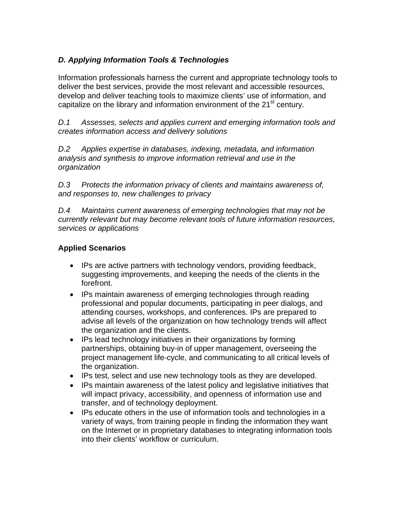# *D. Applying Information Tools & Technologies*

Information professionals harness the current and appropriate technology tools to deliver the best services, provide the most relevant and accessible resources, develop and deliver teaching tools to maximize clients' use of information, and capitalize on the library and information environment of the  $21<sup>st</sup>$  century.

*D.1 Assesses, selects and applies current and emerging information tools and creates information access and delivery solutions* 

*D.2 Applies expertise in databases, indexing, metadata, and information analysis and synthesis to improve information retrieval and use in the organization* 

*D.3 Protects the information privacy of clients and maintains awareness of, and responses to, new challenges to privacy* 

*D.4 Maintains current awareness of emerging technologies that may not be currently relevant but may become relevant tools of future information resources, services or applications* 

- IPs are active partners with technology vendors, providing feedback, suggesting improvements, and keeping the needs of the clients in the forefront.
- IPs maintain awareness of emerging technologies through reading professional and popular documents, participating in peer dialogs, and attending courses, workshops, and conferences. IPs are prepared to advise all levels of the organization on how technology trends will affect the organization and the clients.
- IPs lead technology initiatives in their organizations by forming partnerships, obtaining buy-in of upper management, overseeing the project management life-cycle, and communicating to all critical levels of the organization.
- IPs test, select and use new technology tools as they are developed.
- IPs maintain awareness of the latest policy and legislative initiatives that will impact privacy, accessibility, and openness of information use and transfer, and of technology deployment.
- IPs educate others in the use of information tools and technologies in a variety of ways, from training people in finding the information they want on the Internet or in proprietary databases to integrating information tools into their clients' workflow or curriculum.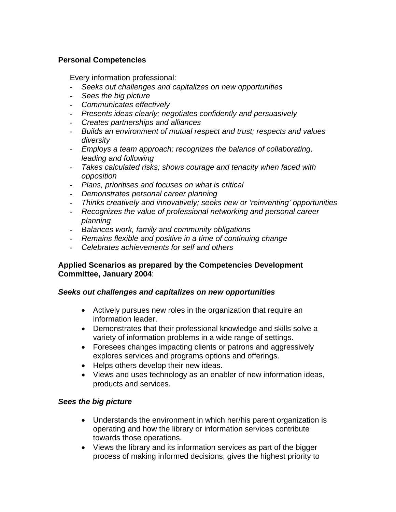## **Personal Competencies**

Every information professional:

- *Seeks out challenges and capitalizes on new opportunities*
- *Sees the big picture*
- *Communicates effectively*
- *Presents ideas clearly; negotiates confidently and persuasively*
- *Creates partnerships and alliances*
- *Builds an environment of mutual respect and trust; respects and values diversity*
- *Employs a team approach; recognizes the balance of collaborating, leading and following*
- *Takes calculated risks; shows courage and tenacity when faced with opposition*
- *Plans, prioritises and focuses on what is critical*
- *Demonstrates personal career planning*
- *Thinks creatively and innovatively; seeks new or 'reinventing' opportunities*
- *Recognizes the value of professional networking and personal career planning*
- *Balances work, family and community obligations*
- *Remains flexible and positive in a time of continuing change*
- *Celebrates achievements for self and others*

#### **Applied Scenarios as prepared by the Competencies Development Committee, January 2004**:

#### *Seeks out challenges and capitalizes on new opportunities*

- Actively pursues new roles in the organization that require an information leader.
- Demonstrates that their professional knowledge and skills solve a variety of information problems in a wide range of settings.
- Foresees changes impacting clients or patrons and aggressively explores services and programs options and offerings.
- Helps others develop their new ideas.
- Views and uses technology as an enabler of new information ideas, products and services.

#### *Sees the big picture*

- Understands the environment in which her/his parent organization is operating and how the library or information services contribute towards those operations.
- Views the library and its information services as part of the bigger process of making informed decisions; gives the highest priority to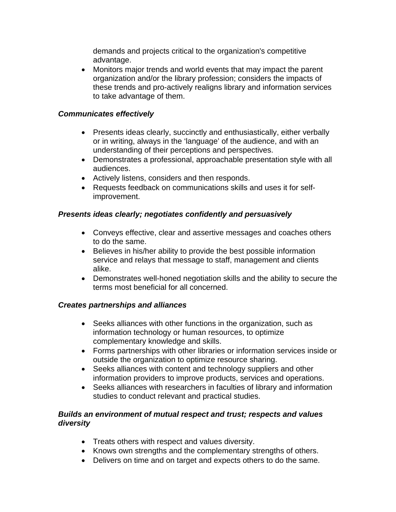demands and projects critical to the organization's competitive advantage.

• Monitors major trends and world events that may impact the parent organization and/or the library profession; considers the impacts of these trends and pro-actively realigns library and information services to take advantage of them.

## *Communicates effectively*

- Presents ideas clearly, succinctly and enthusiastically, either verbally or in writing, always in the 'language' of the audience, and with an understanding of their perceptions and perspectives.
- Demonstrates a professional, approachable presentation style with all audiences.
- Actively listens, considers and then responds.
- Requests feedback on communications skills and uses it for selfimprovement.

### *Presents ideas clearly; negotiates confidently and persuasively*

- Conveys effective, clear and assertive messages and coaches others to do the same.
- Believes in his/her ability to provide the best possible information service and relays that message to staff, management and clients alike.
- Demonstrates well-honed negotiation skills and the ability to secure the terms most beneficial for all concerned.

# *Creates partnerships and alliances*

- Seeks alliances with other functions in the organization, such as information technology or human resources, to optimize complementary knowledge and skills.
- Forms partnerships with other libraries or information services inside or outside the organization to optimize resource sharing.
- Seeks alliances with content and technology suppliers and other information providers to improve products, services and operations.
- Seeks alliances with researchers in faculties of library and information studies to conduct relevant and practical studies.

### *Builds an environment of mutual respect and trust; respects and values diversity*

- Treats others with respect and values diversity.
- Knows own strengths and the complementary strengths of others.
- Delivers on time and on target and expects others to do the same.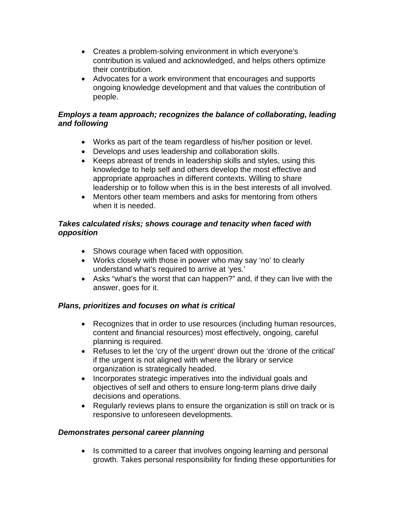- Creates a problem-solving environment in which everyone's contribution is valued and acknowledged, and helps others optimize their contribution.
- Advocates for a work environment that encourages and supports ongoing knowledge development and that values the contribution of people.

## *Employs a team approach; recognizes the balance of collaborating, leading and following*

- Works as part of the team regardless of his/her position or level.
- Develops and uses leadership and collaboration skills.
- Keeps abreast of trends in leadership skills and styles, using this knowledge to help self and others develop the most effective and appropriate approaches in different contexts. Willing to share leadership or to follow when this is in the best interests of all involved.
- Mentors other team members and asks for mentoring from others when it is needed.

### *Takes calculated risks; shows courage and tenacity when faced with opposition*

- Shows courage when faced with opposition.
- Works closely with those in power who may say 'no' to clearly understand what's required to arrive at 'yes.'
- Asks "what's the worst that can happen?" and, if they can live with the answer, goes for it.

# *Plans, prioritizes and focuses on what is critical*

- Recognizes that in order to use resources (including human resources, content and financial resources) most effectively, ongoing, careful planning is required.
- Refuses to let the 'cry of the urgent' drown out the 'drone of the critical' if the urgent is not aligned with where the library or service organization is strategically headed.
- Incorporates strategic imperatives into the individual goals and objectives of self and others to ensure long-term plans drive daily decisions and operations.
- Regularly reviews plans to ensure the organization is still on track or is responsive to unforeseen developments.

#### *Demonstrates personal career planning*

• Is committed to a career that involves ongoing learning and personal growth. Takes personal responsibility for finding these opportunities for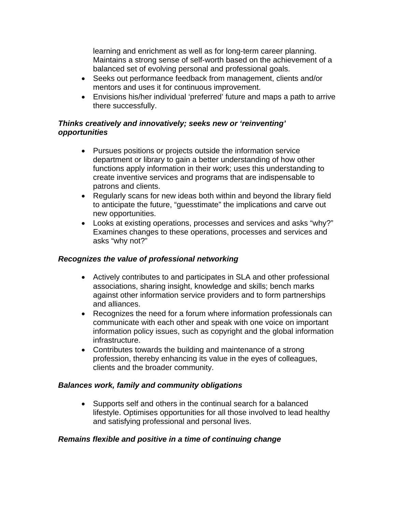learning and enrichment as well as for long-term career planning. Maintains a strong sense of self-worth based on the achievement of a balanced set of evolving personal and professional goals.

- Seeks out performance feedback from management, clients and/or mentors and uses it for continuous improvement.
- Envisions his/her individual 'preferred' future and maps a path to arrive there successfully.

# *Thinks creatively and innovatively; seeks new or 'reinventing' opportunities*

- Pursues positions or projects outside the information service department or library to gain a better understanding of how other functions apply information in their work; uses this understanding to create inventive services and programs that are indispensable to patrons and clients.
- Regularly scans for new ideas both within and beyond the library field to anticipate the future, "guesstimate" the implications and carve out new opportunities.
- Looks at existing operations, processes and services and asks "why?" Examines changes to these operations, processes and services and asks "why not?"

# *Recognizes the value of professional networking*

- Actively contributes to and participates in SLA and other professional associations, sharing insight, knowledge and skills; bench marks against other information service providers and to form partnerships and alliances.
- Recognizes the need for a forum where information professionals can communicate with each other and speak with one voice on important information policy issues, such as copyright and the global information infrastructure.
- Contributes towards the building and maintenance of a strong profession, thereby enhancing its value in the eyes of colleagues, clients and the broader community.

#### *Balances work, family and community obligations*

• Supports self and others in the continual search for a balanced lifestyle. Optimises opportunities for all those involved to lead healthy and satisfying professional and personal lives.

# *Remains flexible and positive in a time of continuing change*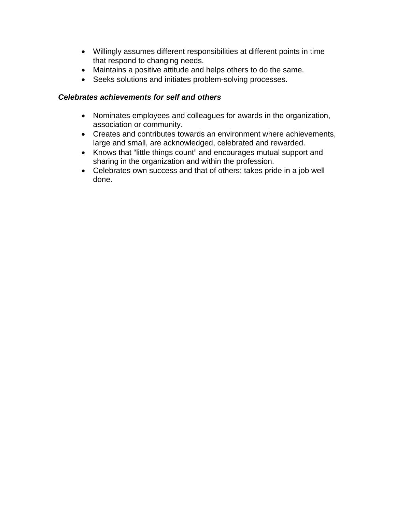- Willingly assumes different responsibilities at different points in time that respond to changing needs.
- Maintains a positive attitude and helps others to do the same.
- Seeks solutions and initiates problem-solving processes.

### *Celebrates achievements for self and others*

- Nominates employees and colleagues for awards in the organization, association or community.
- Creates and contributes towards an environment where achievements, large and small, are acknowledged, celebrated and rewarded.
- Knows that "little things count" and encourages mutual support and sharing in the organization and within the profession.
- Celebrates own success and that of others; takes pride in a job well done.